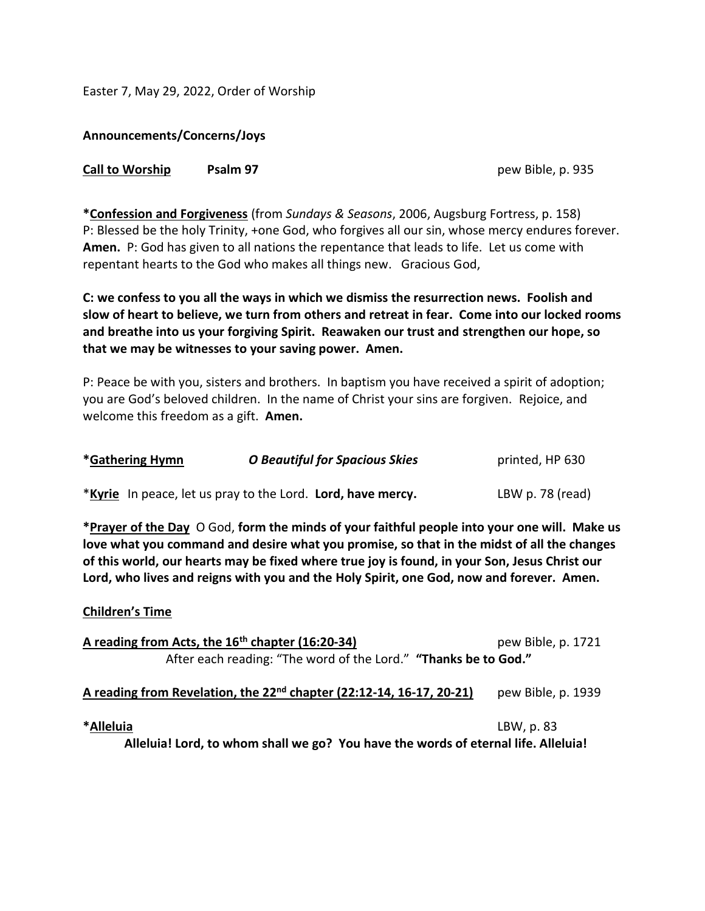Easter 7, May 29, 2022, Order of Worship

**Announcements/Concerns/Joys**

| <b>Call to Worship</b> | Psalm 97 |  |
|------------------------|----------|--|
|------------------------|----------|--|

**Call to Worship Psalm 97** pew Bible, p. 935

**\*Confession and Forgiveness** (from *Sundays & Seasons*, 2006, Augsburg Fortress, p. 158) P: Blessed be the holy Trinity, +one God, who forgives all our sin, whose mercy endures forever. **Amen.** P: God has given to all nations the repentance that leads to life. Let us come with repentant hearts to the God who makes all things new. Gracious God,

**C: we confess to you all the ways in which we dismiss the resurrection news. Foolish and slow of heart to believe, we turn from others and retreat in fear. Come into our locked rooms and breathe into us your forgiving Spirit. Reawaken our trust and strengthen our hope, so that we may be witnesses to your saving power. Amen.**

P: Peace be with you, sisters and brothers. In baptism you have received a spirit of adoption; you are God's beloved children. In the name of Christ your sins are forgiven. Rejoice, and welcome this freedom as a gift. **Amen.**

| *Gathering Hymn | <b>O Beautiful for Spacious Skies</b>                       | printed, HP 630  |
|-----------------|-------------------------------------------------------------|------------------|
|                 | *Kyrie In peace, let us pray to the Lord. Lord, have mercy. | LBW p. 78 (read) |

**\*Prayer of the Day** O God, **form the minds of your faithful people into your one will. Make us love what you command and desire what you promise, so that in the midst of all the changes of this world, our hearts may be fixed where true joy is found, in your Son, Jesus Christ our Lord, who lives and reigns with you and the Holy Spirit, one God, now and forever. Amen.**

## **Children's Time**

| A reading from Acts, the 16 <sup>th</sup> chapter (16:20-34)                     | pew Bible, p. 1721 |
|----------------------------------------------------------------------------------|--------------------|
| After each reading: "The word of the Lord." "Thanks be to God."                  |                    |
| A reading from Revelation, the 22 <sup>nd</sup> chapter (22:12-14, 16-17, 20-21) | pew Bible, p. 1939 |

**\*Alleluia** LBW, p. 83

**Alleluia! Lord, to whom shall we go? You have the words of eternal life. Alleluia!**